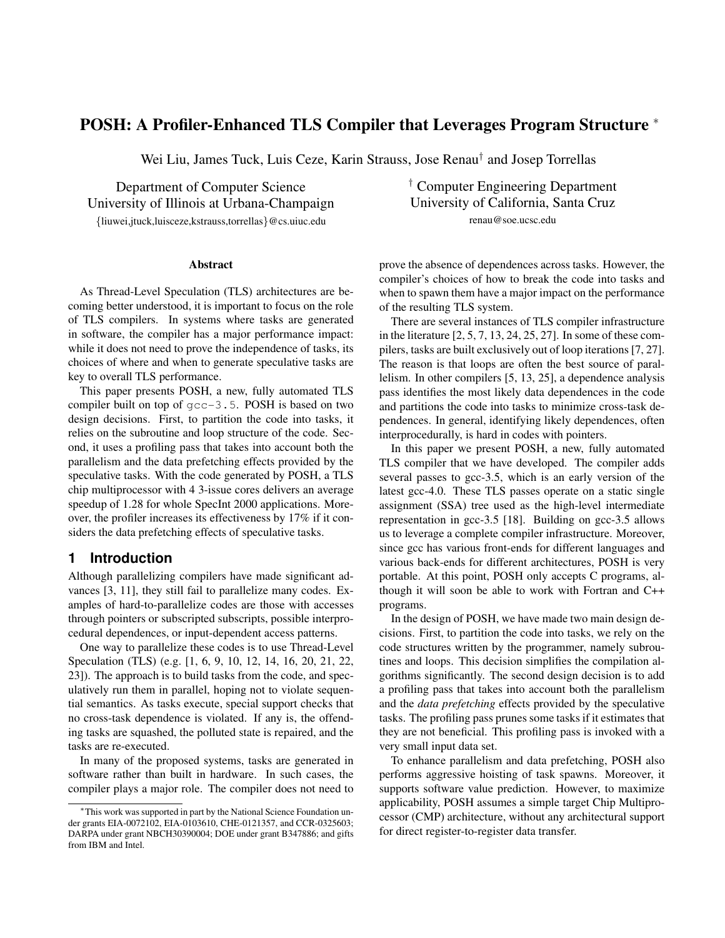# **POSH: A Profiler-Enhanced TLS Compiler that Leverages Program Structure** <sup>∗</sup>

Wei Liu, James Tuck, Luis Ceze, Karin Strauss, Jose Renau† and Josep Torrellas

Department of Computer Science University of Illinois at Urbana-Champaign {liuwei,jtuck,luisceze,kstrauss,torrellas}@cs.uiuc.edu

**Abstract**

As Thread-Level Speculation (TLS) architectures are becoming better understood, it is important to focus on the role of TLS compilers. In systems where tasks are generated in software, the compiler has a major performance impact: while it does not need to prove the independence of tasks, its choices of where and when to generate speculative tasks are key to overall TLS performance.

This paper presents POSH, a new, fully automated TLS compiler built on top of gcc-3.5. POSH is based on two design decisions. First, to partition the code into tasks, it relies on the subroutine and loop structure of the code. Second, it uses a profiling pass that takes into account both the parallelism and the data prefetching effects provided by the speculative tasks. With the code generated by POSH, a TLS chip multiprocessor with 4 3-issue cores delivers an average speedup of 1.28 for whole SpecInt 2000 applications. Moreover, the profiler increases its effectiveness by 17% if it considers the data prefetching effects of speculative tasks.

## **1 Introduction**

Although parallelizing compilers have made significant advances [3, 11], they still fail to parallelize many codes. Examples of hard-to-parallelize codes are those with accesses through pointers or subscripted subscripts, possible interprocedural dependences, or input-dependent access patterns.

One way to parallelize these codes is to use Thread-Level Speculation (TLS) (e.g. [1, 6, 9, 10, 12, 14, 16, 20, 21, 22, 23]). The approach is to build tasks from the code, and speculatively run them in parallel, hoping not to violate sequential semantics. As tasks execute, special support checks that no cross-task dependence is violated. If any is, the offending tasks are squashed, the polluted state is repaired, and the tasks are re-executed.

In many of the proposed systems, tasks are generated in software rather than built in hardware. In such cases, the compiler plays a major role. The compiler does not need to

† Computer Engineering Department University of California, Santa Cruz renau@soe.ucsc.edu

prove the absence of dependences across tasks. However, the compiler's choices of how to break the code into tasks and when to spawn them have a major impact on the performance of the resulting TLS system.

There are several instances of TLS compiler infrastructure in the literature [2, 5, 7, 13, 24, 25, 27]. In some of these compilers, tasks are built exclusively out of loop iterations [7, 27]. The reason is that loops are often the best source of parallelism. In other compilers [5, 13, 25], a dependence analysis pass identifies the most likely data dependences in the code and partitions the code into tasks to minimize cross-task dependences. In general, identifying likely dependences, often interprocedurally, is hard in codes with pointers.

In this paper we present POSH, a new, fully automated TLS compiler that we have developed. The compiler adds several passes to gcc-3.5, which is an early version of the latest gcc-4.0. These TLS passes operate on a static single assignment (SSA) tree used as the high-level intermediate representation in gcc-3.5 [18]. Building on gcc-3.5 allows us to leverage a complete compiler infrastructure. Moreover, since gcc has various front-ends for different languages and various back-ends for different architectures, POSH is very portable. At this point, POSH only accepts C programs, although it will soon be able to work with Fortran and C++ programs.

In the design of POSH, we have made two main design decisions. First, to partition the code into tasks, we rely on the code structures written by the programmer, namely subroutines and loops. This decision simplifies the compilation algorithms significantly. The second design decision is to add a profiling pass that takes into account both the parallelism and the *data prefetching* effects provided by the speculative tasks. The profiling pass prunes some tasks if it estimates that they are not beneficial. This profiling pass is invoked with a very small input data set.

To enhance parallelism and data prefetching, POSH also performs aggressive hoisting of task spawns. Moreover, it supports software value prediction. However, to maximize applicability, POSH assumes a simple target Chip Multiprocessor (CMP) architecture, without any architectural support for direct register-to-register data transfer.

<sup>∗</sup>This work was supported in part by the National Science Foundation under grants EIA-0072102, EIA-0103610, CHE-0121357, and CCR-0325603; DARPA under grant NBCH30390004; DOE under grant B347886; and gifts from IBM and Intel.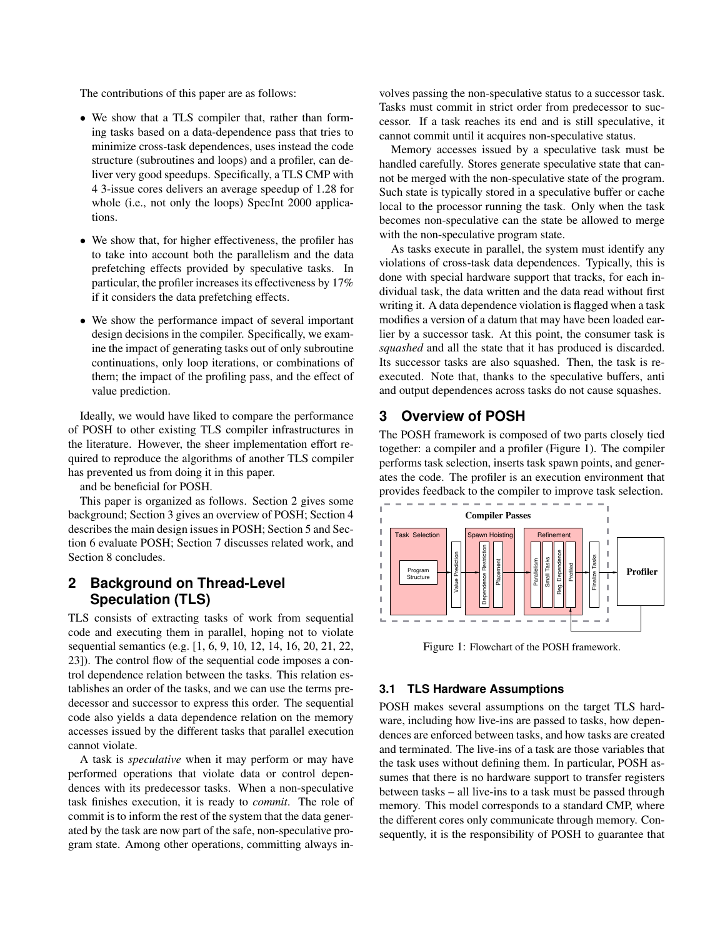The contributions of this paper are as follows:

- We show that a TLS compiler that, rather than forming tasks based on a data-dependence pass that tries to minimize cross-task dependences, uses instead the code structure (subroutines and loops) and a profiler, can deliver very good speedups. Specifically, a TLS CMP with 4 3-issue cores delivers an average speedup of 1.28 for whole (i.e., not only the loops) SpecInt 2000 applications.
- We show that, for higher effectiveness, the profiler has to take into account both the parallelism and the data prefetching effects provided by speculative tasks. In particular, the profiler increases its effectiveness by 17% if it considers the data prefetching effects.
- We show the performance impact of several important design decisions in the compiler. Specifically, we examine the impact of generating tasks out of only subroutine continuations, only loop iterations, or combinations of them; the impact of the profiling pass, and the effect of value prediction.

Ideally, we would have liked to compare the performance of POSH to other existing TLS compiler infrastructures in the literature. However, the sheer implementation effort required to reproduce the algorithms of another TLS compiler has prevented us from doing it in this paper.

and be beneficial for POSH.

This paper is organized as follows. Section 2 gives some background; Section 3 gives an overview of POSH; Section 4 describes the main design issues in POSH; Section 5 and Section 6 evaluate POSH; Section 7 discusses related work, and Section 8 concludes.

# **2 Background on Thread-Level Speculation (TLS)**

TLS consists of extracting tasks of work from sequential code and executing them in parallel, hoping not to violate sequential semantics (e.g. [1, 6, 9, 10, 12, 14, 16, 20, 21, 22, 23]). The control flow of the sequential code imposes a control dependence relation between the tasks. This relation establishes an order of the tasks, and we can use the terms predecessor and successor to express this order. The sequential code also yields a data dependence relation on the memory accesses issued by the different tasks that parallel execution cannot violate.

A task is *speculative* when it may perform or may have performed operations that violate data or control dependences with its predecessor tasks. When a non-speculative task finishes execution, it is ready to *commit*. The role of commit is to inform the rest of the system that the data generated by the task are now part of the safe, non-speculative program state. Among other operations, committing always involves passing the non-speculative status to a successor task. Tasks must commit in strict order from predecessor to successor. If a task reaches its end and is still speculative, it cannot commit until it acquires non-speculative status.

Memory accesses issued by a speculative task must be handled carefully. Stores generate speculative state that cannot be merged with the non-speculative state of the program. Such state is typically stored in a speculative buffer or cache local to the processor running the task. Only when the task becomes non-speculative can the state be allowed to merge with the non-speculative program state.

As tasks execute in parallel, the system must identify any violations of cross-task data dependences. Typically, this is done with special hardware support that tracks, for each individual task, the data written and the data read without first writing it. A data dependence violation is flagged when a task modifies a version of a datum that may have been loaded earlier by a successor task. At this point, the consumer task is *squashed* and all the state that it has produced is discarded. Its successor tasks are also squashed. Then, the task is reexecuted. Note that, thanks to the speculative buffers, anti and output dependences across tasks do not cause squashes.

# **3 Overview of POSH**

The POSH framework is composed of two parts closely tied together: a compiler and a profiler (Figure 1). The compiler performs task selection, inserts task spawn points, and generates the code. The profiler is an execution environment that provides feedback to the compiler to improve task selection.



Figure 1: Flowchart of the POSH framework.

### **3.1 TLS Hardware Assumptions**

POSH makes several assumptions on the target TLS hardware, including how live-ins are passed to tasks, how dependences are enforced between tasks, and how tasks are created and terminated. The live-ins of a task are those variables that the task uses without defining them. In particular, POSH assumes that there is no hardware support to transfer registers between tasks – all live-ins to a task must be passed through memory. This model corresponds to a standard CMP, where the different cores only communicate through memory. Consequently, it is the responsibility of POSH to guarantee that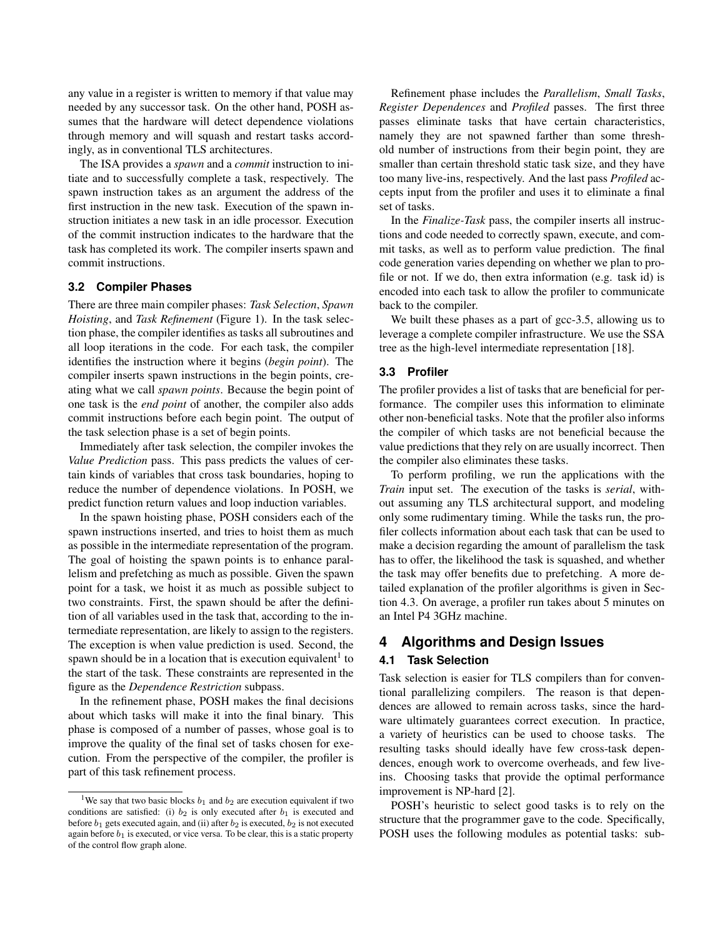any value in a register is written to memory if that value may needed by any successor task. On the other hand, POSH assumes that the hardware will detect dependence violations through memory and will squash and restart tasks accordingly, as in conventional TLS architectures.

The ISA provides a *spawn* and a *commit* instruction to initiate and to successfully complete a task, respectively. The spawn instruction takes as an argument the address of the first instruction in the new task. Execution of the spawn instruction initiates a new task in an idle processor. Execution of the commit instruction indicates to the hardware that the task has completed its work. The compiler inserts spawn and commit instructions.

#### **3.2 Compiler Phases**

There are three main compiler phases: *Task Selection*, *Spawn Hoisting*, and *Task Refinement* (Figure 1). In the task selection phase, the compiler identifies as tasks all subroutines and all loop iterations in the code. For each task, the compiler identifies the instruction where it begins (*begin point*). The compiler inserts spawn instructions in the begin points, creating what we call *spawn points*. Because the begin point of one task is the *end point* of another, the compiler also adds commit instructions before each begin point. The output of the task selection phase is a set of begin points.

Immediately after task selection, the compiler invokes the *Value Prediction* pass. This pass predicts the values of certain kinds of variables that cross task boundaries, hoping to reduce the number of dependence violations. In POSH, we predict function return values and loop induction variables.

In the spawn hoisting phase, POSH considers each of the spawn instructions inserted, and tries to hoist them as much as possible in the intermediate representation of the program. The goal of hoisting the spawn points is to enhance parallelism and prefetching as much as possible. Given the spawn point for a task, we hoist it as much as possible subject to two constraints. First, the spawn should be after the definition of all variables used in the task that, according to the intermediate representation, are likely to assign to the registers. The exception is when value prediction is used. Second, the spawn should be in a location that is execution equivalent<sup>1</sup> to the start of the task. These constraints are represented in the figure as the *Dependence Restriction* subpass.

In the refinement phase, POSH makes the final decisions about which tasks will make it into the final binary. This phase is composed of a number of passes, whose goal is to improve the quality of the final set of tasks chosen for execution. From the perspective of the compiler, the profiler is part of this task refinement process.

Refinement phase includes the *Parallelism*, *Small Tasks*, *Register Dependences* and *Profiled* passes. The first three passes eliminate tasks that have certain characteristics, namely they are not spawned farther than some threshold number of instructions from their begin point, they are smaller than certain threshold static task size, and they have too many live-ins, respectively. And the last pass *Profiled* accepts input from the profiler and uses it to eliminate a final set of tasks.

In the *Finalize-Task* pass, the compiler inserts all instructions and code needed to correctly spawn, execute, and commit tasks, as well as to perform value prediction. The final code generation varies depending on whether we plan to profile or not. If we do, then extra information (e.g. task id) is encoded into each task to allow the profiler to communicate back to the compiler.

We built these phases as a part of gcc-3.5, allowing us to leverage a complete compiler infrastructure. We use the SSA tree as the high-level intermediate representation [18].

#### **3.3 Profiler**

The profiler provides a list of tasks that are beneficial for performance. The compiler uses this information to eliminate other non-beneficial tasks. Note that the profiler also informs the compiler of which tasks are not beneficial because the value predictions that they rely on are usually incorrect. Then the compiler also eliminates these tasks.

To perform profiling, we run the applications with the *Train* input set. The execution of the tasks is *serial*, without assuming any TLS architectural support, and modeling only some rudimentary timing. While the tasks run, the profiler collects information about each task that can be used to make a decision regarding the amount of parallelism the task has to offer, the likelihood the task is squashed, and whether the task may offer benefits due to prefetching. A more detailed explanation of the profiler algorithms is given in Section 4.3. On average, a profiler run takes about 5 minutes on an Intel P4 3GHz machine.

## **4 Algorithms and Design Issues**

#### **4.1 Task Selection**

Task selection is easier for TLS compilers than for conventional parallelizing compilers. The reason is that dependences are allowed to remain across tasks, since the hardware ultimately guarantees correct execution. In practice, a variety of heuristics can be used to choose tasks. The resulting tasks should ideally have few cross-task dependences, enough work to overcome overheads, and few liveins. Choosing tasks that provide the optimal performance improvement is NP-hard [2].

POSH's heuristic to select good tasks is to rely on the structure that the programmer gave to the code. Specifically, POSH uses the following modules as potential tasks: sub-

<sup>&</sup>lt;sup>1</sup>We say that two basic blocks  $b_1$  and  $b_2$  are execution equivalent if two conditions are satisfied: (i)  $b_2$  is only executed after  $b_1$  is executed and before  $b_1$  gets executed again, and (ii) after  $b_2$  is executed,  $b_2$  is not executed again before  $b_1$  is executed, or vice versa. To be clear, this is a static property of the control flow graph alone.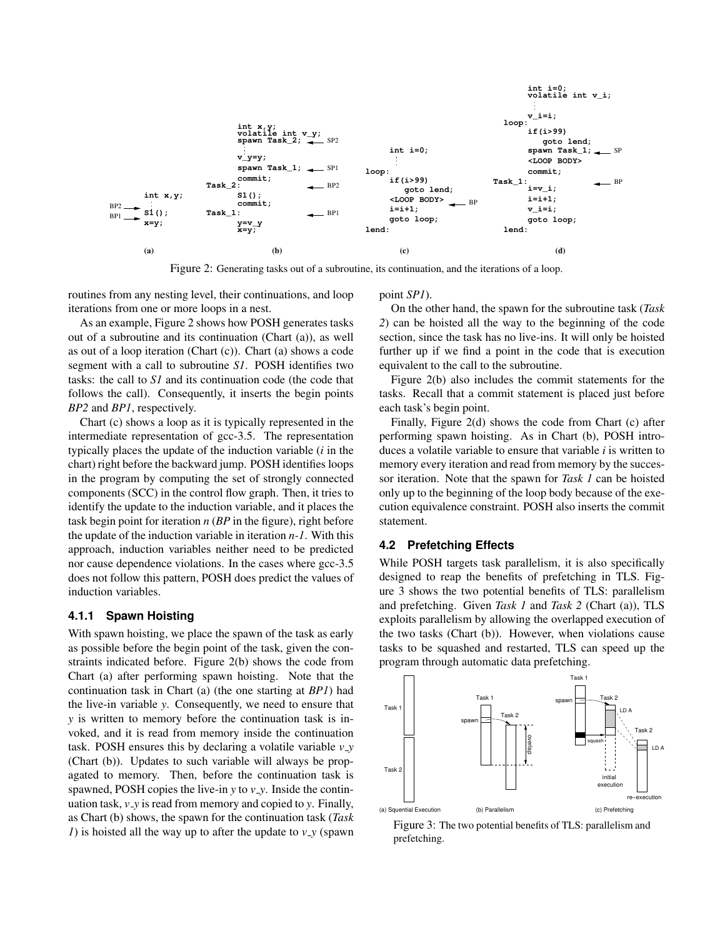

Figure 2: Generating tasks out of a subroutine, its continuation, and the iterations of a loop.

routines from any nesting level, their continuations, and loop iterations from one or more loops in a nest.

As an example, Figure 2 shows how POSH generates tasks out of a subroutine and its continuation (Chart (a)), as well as out of a loop iteration (Chart (c)). Chart (a) shows a code segment with a call to subroutine *S1*. POSH identifies two tasks: the call to *S1* and its continuation code (the code that follows the call). Consequently, it inserts the begin points *BP2* and *BP1*, respectively.

Chart (c) shows a loop as it is typically represented in the intermediate representation of gcc-3.5. The representation typically places the update of the induction variable (*i* in the chart) right before the backward jump. POSH identifies loops in the program by computing the set of strongly connected components (SCC) in the control flow graph. Then, it tries to identify the update to the induction variable, and it places the task begin point for iteration *n* (*BP* in the figure), right before the update of the induction variable in iteration *n-1*. With this approach, induction variables neither need to be predicted nor cause dependence violations. In the cases where gcc-3.5 does not follow this pattern, POSH does predict the values of induction variables.

#### **4.1.1 Spawn Hoisting**

With spawn hoisting, we place the spawn of the task as early as possible before the begin point of the task, given the constraints indicated before. Figure 2(b) shows the code from Chart (a) after performing spawn hoisting. Note that the continuation task in Chart (a) (the one starting at *BP1*) had the live-in variable *y*. Consequently, we need to ensure that *y* is written to memory before the continuation task is invoked, and it is read from memory inside the continuation task. POSH ensures this by declaring a volatile variable *v y* (Chart (b)). Updates to such variable will always be propagated to memory. Then, before the continuation task is spawned, POSH copies the live-in *y* to *v y*. Inside the continuation task, *v y* is read from memory and copied to *y*. Finally, as Chart (b) shows, the spawn for the continuation task (*Task 1*) is hoisted all the way up to after the update to  $v_y$  (spawn

point *SP1*).

On the other hand, the spawn for the subroutine task (*Task 2*) can be hoisted all the way to the beginning of the code section, since the task has no live-ins. It will only be hoisted further up if we find a point in the code that is execution equivalent to the call to the subroutine.

Figure 2(b) also includes the commit statements for the tasks. Recall that a commit statement is placed just before each task's begin point.

Finally, Figure 2(d) shows the code from Chart (c) after performing spawn hoisting. As in Chart (b), POSH introduces a volatile variable to ensure that variable *i* is written to memory every iteration and read from memory by the successor iteration. Note that the spawn for *Task 1* can be hoisted only up to the beginning of the loop body because of the execution equivalence constraint. POSH also inserts the commit statement.

### **4.2 Prefetching Effects**

While POSH targets task parallelism, it is also specifically designed to reap the benefits of prefetching in TLS. Figure 3 shows the two potential benefits of TLS: parallelism and prefetching. Given *Task 1* and *Task 2* (Chart (a)), TLS exploits parallelism by allowing the overlapped execution of the two tasks (Chart (b)). However, when violations cause tasks to be squashed and restarted, TLS can speed up the program through automatic data prefetching.



Figure 3: The two potential benefits of TLS: parallelism and prefetching.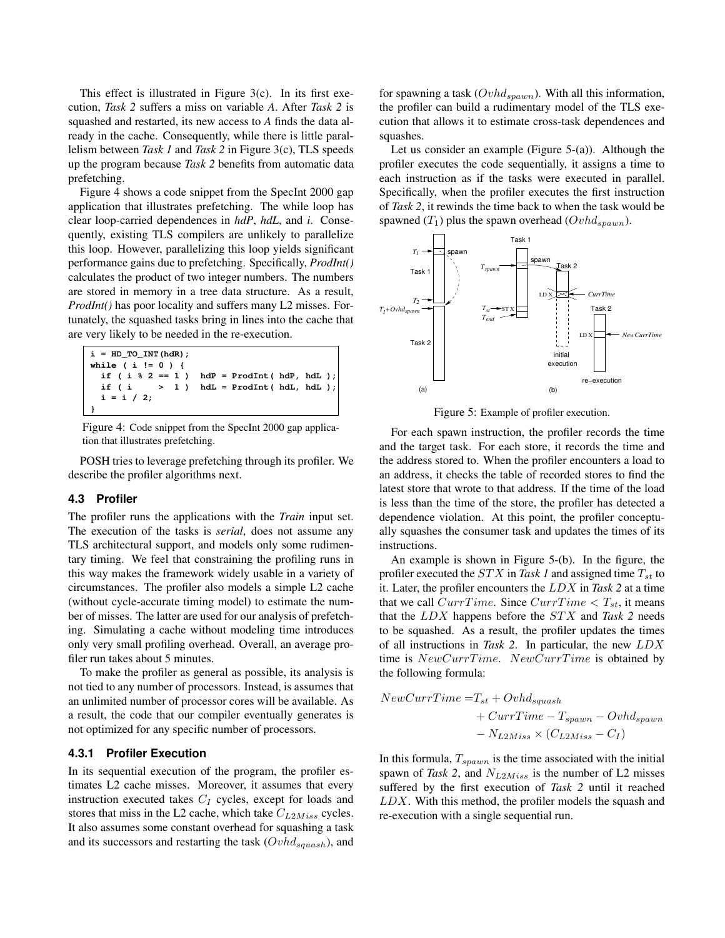This effect is illustrated in Figure 3(c). In its first execution, *Task 2* suffers a miss on variable *A*. After *Task 2* is squashed and restarted, its new access to *A* finds the data already in the cache. Consequently, while there is little parallelism between *Task 1* and *Task 2* in Figure 3(c), TLS speeds up the program because *Task 2* benefits from automatic data prefetching.

Figure 4 shows a code snippet from the SpecInt 2000 gap application that illustrates prefetching. The while loop has clear loop-carried dependences in *hdP*, *hdL*, and *i*. Consequently, existing TLS compilers are unlikely to parallelize this loop. However, parallelizing this loop yields significant performance gains due to prefetching. Specifically, *ProdInt()* calculates the product of two integer numbers. The numbers are stored in memory in a tree data structure. As a result, *ProdInt()* has poor locality and suffers many L2 misses. Fortunately, the squashed tasks bring in lines into the cache that are very likely to be needed in the re-execution.

```
i = HD_TO_INT(hdR); if ( i % 2 == 1 ) hdP = ProdInt( hdP, hdL );
  if ( i > 1 ) hdL = Product ( hdL, hdL );
   i = i / 2;
}
while ( i != 0 ) {
```
Figure 4: Code snippet from the SpecInt 2000 gap application that illustrates prefetching.

POSH tries to leverage prefetching through its profiler. We describe the profiler algorithms next.

#### **4.3 Profiler**

The profiler runs the applications with the *Train* input set. The execution of the tasks is *serial*, does not assume any TLS architectural support, and models only some rudimentary timing. We feel that constraining the profiling runs in this way makes the framework widely usable in a variety of circumstances. The profiler also models a simple L2 cache (without cycle-accurate timing model) to estimate the number of misses. The latter are used for our analysis of prefetching. Simulating a cache without modeling time introduces only very small profiling overhead. Overall, an average profiler run takes about 5 minutes.

To make the profiler as general as possible, its analysis is not tied to any number of processors. Instead, is assumes that an unlimited number of processor cores will be available. As a result, the code that our compiler eventually generates is not optimized for any specific number of processors.

#### **4.3.1 Profiler Execution**

In its sequential execution of the program, the profiler estimates L2 cache misses. Moreover, it assumes that every instruction executed takes  $C_I$  cycles, except for loads and stores that miss in the L2 cache, which take  $C_{L2Miss}$  cycles. It also assumes some constant overhead for squashing a task and its successors and restarting the task  $(Ovhd_{squash})$ , and for spawning a task ( $Ovhd_{spawn}$ ). With all this information, the profiler can build a rudimentary model of the TLS execution that allows it to estimate cross-task dependences and squashes.

Let us consider an example (Figure 5-(a)). Although the profiler executes the code sequentially, it assigns a time to each instruction as if the tasks were executed in parallel. Specifically, when the profiler executes the first instruction of *Task 2*, it rewinds the time back to when the task would be spawned  $(T_1)$  plus the spawn overhead  $(Ovhd_{spawn})$ .



Figure 5: Example of profiler execution.

For each spawn instruction, the profiler records the time and the target task. For each store, it records the time and the address stored to. When the profiler encounters a load to an address, it checks the table of recorded stores to find the latest store that wrote to that address. If the time of the load is less than the time of the store, the profiler has detected a dependence violation. At this point, the profiler conceptually squashes the consumer task and updates the times of its instructions.

An example is shown in Figure 5-(b). In the figure, the profiler executed the  $STX$  in Task 1 and assigned time  $T_{st}$  to it. Later, the profiler encounters the LDX in *Task 2* at a time that we call  $CurrTime$ . Since  $CurrTime < T_{st}$ , it means that the LDX happens before the STX and *Task 2* needs to be squashed. As a result, the profiler updates the times of all instructions in *Task 2*. In particular, the new LDX time is  $NewCurrTime$ . NewCurrTime is obtained by the following formula:

$$
NewCurrent Time = T_{st} + Ovhd_{spaush}
$$
  
+ 
$$
CurrTime - T_{spawn} - Ovhd_{spawn}
$$
  
- 
$$
N_{L2Miss} \times (C_{L2Miss} - C_I)
$$

In this formula,  $T_{spam}$  is the time associated with the initial spawn of *Task 2*, and  $N_{L2Miss}$  is the number of L2 misses suffered by the first execution of *Task 2* until it reached LDX. With this method, the profiler models the squash and re-execution with a single sequential run.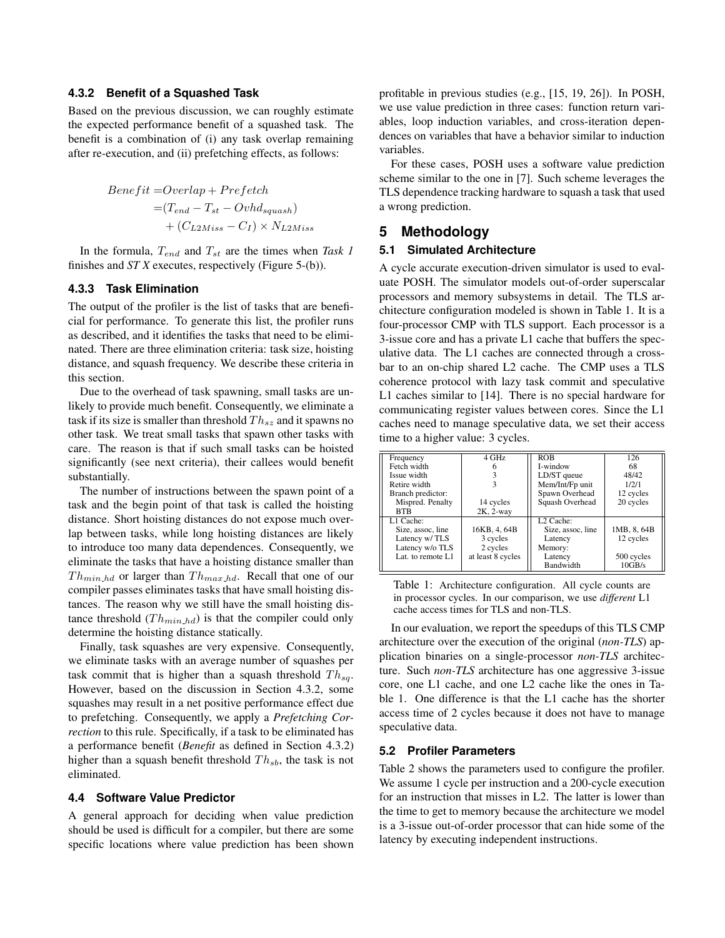#### **4.3.2 Benefit of a Squashed Task**

Based on the previous discussion, we can roughly estimate the expected performance benefit of a squashed task. The benefit is a combination of (i) any task overlap remaining after re-execution, and (ii) prefetching effects, as follows:

$$
Benefit = Overlap + Prefetch
$$
  
= $(T_{end} - T_{st} - Ovhd_{spuash})$   
+ $(C_{L2Miss} - C_I) \times N_{L2Miss}$ 

In the formula,  $T_{end}$  and  $T_{st}$  are the times when *Task 1* finishes and *ST X* executes, respectively (Figure 5-(b)).

### **4.3.3 Task Elimination**

The output of the profiler is the list of tasks that are beneficial for performance. To generate this list, the profiler runs as described, and it identifies the tasks that need to be eliminated. There are three elimination criteria: task size, hoisting distance, and squash frequency. We describe these criteria in this section.

Due to the overhead of task spawning, small tasks are unlikely to provide much benefit. Consequently, we eliminate a task if its size is smaller than threshold  $Th_{sz}$  and it spawns no other task. We treat small tasks that spawn other tasks with care. The reason is that if such small tasks can be hoisted significantly (see next criteria), their callees would benefit substantially.

The number of instructions between the spawn point of a task and the begin point of that task is called the hoisting distance. Short hoisting distances do not expose much overlap between tasks, while long hoisting distances are likely to introduce too many data dependences. Consequently, we eliminate the tasks that have a hoisting distance smaller than  $Th_{min hd}$  or larger than  $Th_{max hd}$ . Recall that one of our compiler passes eliminates tasks that have small hoisting distances. The reason why we still have the small hoisting distance threshold  $(Th_{min\;hd})$  is that the compiler could only determine the hoisting distance statically.

Finally, task squashes are very expensive. Consequently, we eliminate tasks with an average number of squashes per task commit that is higher than a squash threshold  $Th_{sq}$ . However, based on the discussion in Section 4.3.2, some squashes may result in a net positive performance effect due to prefetching. Consequently, we apply a *Prefetching Correction* to this rule. Specifically, if a task to be eliminated has a performance benefit (*Benefit* as defined in Section 4.3.2) higher than a squash benefit threshold  $Th_{sb}$ , the task is not eliminated.

#### **4.4 Software Value Predictor**

A general approach for deciding when value prediction should be used is difficult for a compiler, but there are some specific locations where value prediction has been shown profitable in previous studies (e.g., [15, 19, 26]). In POSH, we use value prediction in three cases: function return variables, loop induction variables, and cross-iteration dependences on variables that have a behavior similar to induction variables.

For these cases, POSH uses a software value prediction scheme similar to the one in [7]. Such scheme leverages the TLS dependence tracking hardware to squash a task that used a wrong prediction.

## **5 Methodology**

#### **5.1 Simulated Architecture**

A cycle accurate execution-driven simulator is used to evaluate POSH. The simulator models out-of-order superscalar processors and memory subsystems in detail. The TLS architecture configuration modeled is shown in Table 1. It is a four-processor CMP with TLS support. Each processor is a 3-issue core and has a private L1 cache that buffers the speculative data. The L1 caches are connected through a crossbar to an on-chip shared L2 cache. The CMP uses a TLS coherence protocol with lazy task commit and speculative L1 caches similar to [14]. There is no special hardware for communicating register values between cores. Since the L1 caches need to manage speculative data, we set their access time to a higher value: 3 cycles.

| Frequency         | 4 GHz             | <b>ROB</b>            | 126         |
|-------------------|-------------------|-----------------------|-------------|
| Fetch width       |                   | I-window              | 68          |
| Issue width       |                   | LD/ST queue           | 48/42       |
| Retire width      |                   | Mem/Int/Fp unit       | 1/2/1       |
| Branch predictor: |                   | Spawn Overhead        | 12 cycles   |
| Mispred. Penalty  | 14 cycles         | Squash Overhead       | 20 cycles   |
| <b>RTR</b>        | 2K, 2-way         |                       |             |
| L1 Cache:         |                   | L <sub>2</sub> Cache: |             |
| Size, assoc, line | 16KB, 4, 64B      | Size, assoc, line     | 1MB, 8, 64B |
| Latency w/TLS     | 3 cycles          | Latency               | 12 cycles   |
| Latency w/o TLS   | 2 cycles          | Memory:               |             |
| Lat. to remote L1 | at least 8 cycles | Latency               | 500 cycles  |
|                   |                   | Bandwidth             | 10GB/s      |

Table 1: Architecture configuration. All cycle counts are in processor cycles. In our comparison, we use *different* L1 cache access times for TLS and non-TLS.

In our evaluation, we report the speedups of this TLS CMP architecture over the execution of the original (*non-TLS*) application binaries on a single-processor *non-TLS* architecture. Such *non-TLS* architecture has one aggressive 3-issue core, one L1 cache, and one L2 cache like the ones in Table 1. One difference is that the L1 cache has the shorter access time of 2 cycles because it does not have to manage speculative data.

#### **5.2 Profiler Parameters**

Table 2 shows the parameters used to configure the profiler. We assume 1 cycle per instruction and a 200-cycle execution for an instruction that misses in L2. The latter is lower than the time to get to memory because the architecture we model is a 3-issue out-of-order processor that can hide some of the latency by executing independent instructions.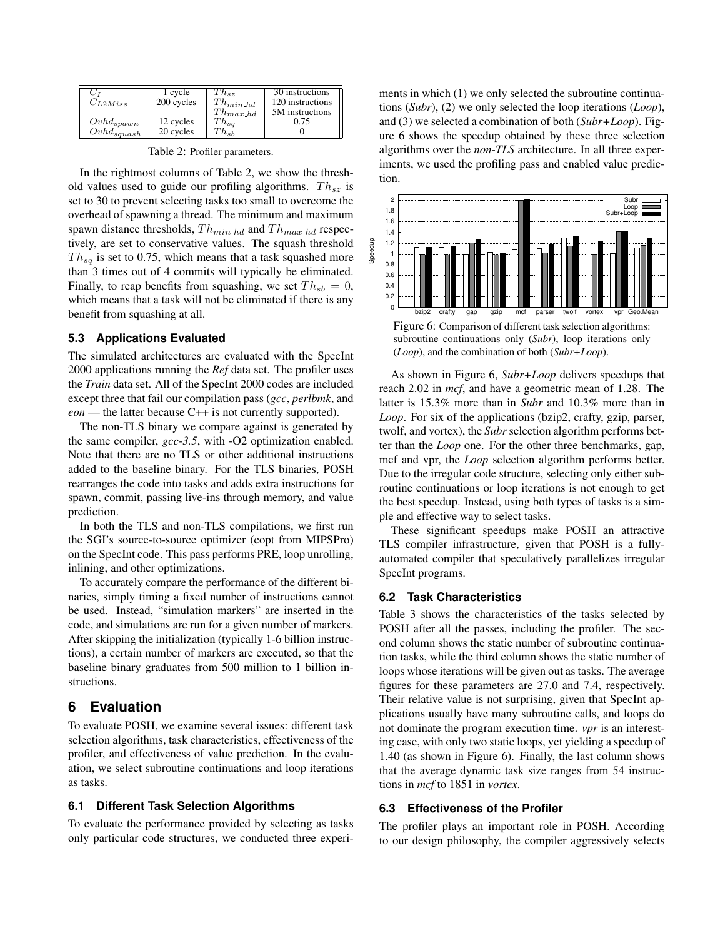| $C_{L2Miss}$    | 1 cvcle<br>200 cycles | $ln_{sz}$<br>$Th_{min h d}$<br>$I' h_{max h d}$ | 30 instructions<br>120 instructions<br>5M instructions |
|-----------------|-----------------------|-------------------------------------------------|--------------------------------------------------------|
| $Ovhd_{spawn}$  | 12 cycles             | $Th_{sa}$                                       | 0.75                                                   |
| $Ovhd_{squash}$ | 20 cycles             | ${}^{T}h_{sb}$                                  |                                                        |

Table 2: Profiler parameters.

In the rightmost columns of Table 2, we show the threshold values used to guide our profiling algorithms.  $Th_{sz}$  is set to 30 to prevent selecting tasks too small to overcome the overhead of spawning a thread. The minimum and maximum spawn distance thresholds,  $Th_{min\_hd}$  and  $Th_{max\_hd}$  respectively, are set to conservative values. The squash threshold  $Th_{sq}$  is set to 0.75, which means that a task squashed more than 3 times out of 4 commits will typically be eliminated. Finally, to reap benefits from squashing, we set  $Th_{sb} = 0$ , which means that a task will not be eliminated if there is any benefit from squashing at all.

### **5.3 Applications Evaluated**

The simulated architectures are evaluated with the SpecInt 2000 applications running the *Ref* data set. The profiler uses the *Train* data set. All of the SpecInt 2000 codes are included except three that fail our compilation pass (*gcc*, *perlbmk*, and *eon* — the latter because C++ is not currently supported).

The non-TLS binary we compare against is generated by the same compiler, *gcc-3.5*, with -O2 optimization enabled. Note that there are no TLS or other additional instructions added to the baseline binary. For the TLS binaries, POSH rearranges the code into tasks and adds extra instructions for spawn, commit, passing live-ins through memory, and value prediction.

In both the TLS and non-TLS compilations, we first run the SGI's source-to-source optimizer (copt from MIPSPro) on the SpecInt code. This pass performs PRE, loop unrolling, inlining, and other optimizations.

To accurately compare the performance of the different binaries, simply timing a fixed number of instructions cannot be used. Instead, "simulation markers" are inserted in the code, and simulations are run for a given number of markers. After skipping the initialization (typically 1-6 billion instructions), a certain number of markers are executed, so that the baseline binary graduates from 500 million to 1 billion instructions.

## **6 Evaluation**

To evaluate POSH, we examine several issues: different task selection algorithms, task characteristics, effectiveness of the profiler, and effectiveness of value prediction. In the evaluation, we select subroutine continuations and loop iterations as tasks.

#### **6.1 Different Task Selection Algorithms**

To evaluate the performance provided by selecting as tasks only particular code structures, we conducted three experiments in which (1) we only selected the subroutine continuations (*Subr*), (2) we only selected the loop iterations (*Loop*), and (3) we selected a combination of both (*Subr+Loop*). Figure 6 shows the speedup obtained by these three selection algorithms over the *non-TLS* architecture. In all three experiments, we used the profiling pass and enabled value prediction.



Figure 6: Comparison of different task selection algorithms: subroutine continuations only (*Subr*), loop iterations only (*Loop*), and the combination of both (*Subr+Loop*).

As shown in Figure 6, *Subr+Loop* delivers speedups that reach 2.02 in *mcf*, and have a geometric mean of 1.28. The latter is 15.3% more than in *Subr* and 10.3% more than in *Loop*. For six of the applications (bzip2, crafty, gzip, parser, twolf, and vortex), the *Subr* selection algorithm performs better than the *Loop* one. For the other three benchmarks, gap, mcf and vpr, the *Loop* selection algorithm performs better. Due to the irregular code structure, selecting only either subroutine continuations or loop iterations is not enough to get the best speedup. Instead, using both types of tasks is a simple and effective way to select tasks.

These significant speedups make POSH an attractive TLS compiler infrastructure, given that POSH is a fullyautomated compiler that speculatively parallelizes irregular SpecInt programs.

#### **6.2 Task Characteristics**

Table 3 shows the characteristics of the tasks selected by POSH after all the passes, including the profiler. The second column shows the static number of subroutine continuation tasks, while the third column shows the static number of loops whose iterations will be given out as tasks. The average figures for these parameters are 27.0 and 7.4, respectively. Their relative value is not surprising, given that SpecInt applications usually have many subroutine calls, and loops do not dominate the program execution time. *vpr* is an interesting case, with only two static loops, yet yielding a speedup of 1.40 (as shown in Figure 6). Finally, the last column shows that the average dynamic task size ranges from 54 instructions in *mcf* to 1851 in *vortex*.

### **6.3 Effectiveness of the Profiler**

The profiler plays an important role in POSH. According to our design philosophy, the compiler aggressively selects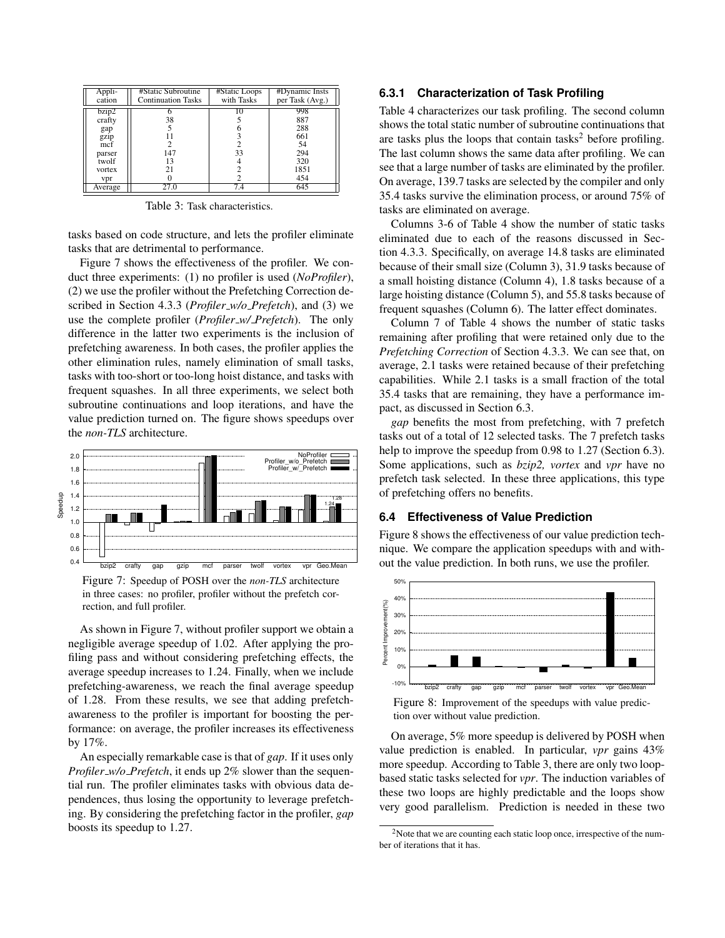| Appli<br>cation | #Static Subroutine<br><b>Continuation Tasks</b> | #Static Loops<br>with Tasks | #Dynamic Insts<br>per Task (Avg.) |
|-----------------|-------------------------------------------------|-----------------------------|-----------------------------------|
| bzip2           |                                                 |                             | 998                               |
| crafty          | 38                                              |                             | 887                               |
| gap             |                                                 |                             | 288                               |
| gzip            |                                                 |                             | 661                               |
| mcf             |                                                 |                             | 54                                |
| parser          | 147                                             | 33                          | 294                               |
| twolf           | 13                                              |                             | 320                               |
| vortex          | 21                                              |                             | 1851                              |
| vpr             |                                                 |                             | 454                               |
| Average         |                                                 |                             |                                   |

Table 3: Task characteristics.

tasks based on code structure, and lets the profiler eliminate tasks that are detrimental to performance.

Figure 7 shows the effectiveness of the profiler. We conduct three experiments: (1) no profiler is used (*NoProfiler*), (2) we use the profiler without the Prefetching Correction described in Section 4.3.3 (*Profiler w/o Prefetch*), and (3) we use the complete profiler (*Profiler w/ Prefetch*). The only difference in the latter two experiments is the inclusion of prefetching awareness. In both cases, the profiler applies the other elimination rules, namely elimination of small tasks, tasks with too-short or too-long hoist distance, and tasks with frequent squashes. In all three experiments, we select both subroutine continuations and loop iterations, and have the value prediction turned on. The figure shows speedups over the *non-TLS* architecture.



Figure 7: Speedup of POSH over the *non-TLS* architecture in three cases: no profiler, profiler without the prefetch correction, and full profiler.

As shown in Figure 7, without profiler support we obtain a negligible average speedup of 1.02. After applying the profiling pass and without considering prefetching effects, the average speedup increases to 1.24. Finally, when we include prefetching-awareness, we reach the final average speedup of 1.28. From these results, we see that adding prefetchawareness to the profiler is important for boosting the performance: on average, the profiler increases its effectiveness by 17%.

An especially remarkable case is that of *gap*. If it uses only *Profiler w/o Prefetch*, it ends up 2% slower than the sequential run. The profiler eliminates tasks with obvious data dependences, thus losing the opportunity to leverage prefetching. By considering the prefetching factor in the profiler, *gap* boosts its speedup to 1.27.

#### **6.3.1 Characterization of Task Profiling**

Table 4 characterizes our task profiling. The second column shows the total static number of subroutine continuations that are tasks plus the loops that contain tasks<sup>2</sup> before profiling. The last column shows the same data after profiling. We can see that a large number of tasks are eliminated by the profiler. On average, 139.7 tasks are selected by the compiler and only 35.4 tasks survive the elimination process, or around 75% of tasks are eliminated on average.

Columns 3-6 of Table 4 show the number of static tasks eliminated due to each of the reasons discussed in Section 4.3.3. Specifically, on average 14.8 tasks are eliminated because of their small size (Column 3), 31.9 tasks because of a small hoisting distance (Column 4), 1.8 tasks because of a large hoisting distance (Column 5), and 55.8 tasks because of frequent squashes (Column 6). The latter effect dominates.

Column 7 of Table 4 shows the number of static tasks remaining after profiling that were retained only due to the *Prefetching Correction* of Section 4.3.3. We can see that, on average, 2.1 tasks were retained because of their prefetching capabilities. While 2.1 tasks is a small fraction of the total 35.4 tasks that are remaining, they have a performance impact, as discussed in Section 6.3.

*gap* benefits the most from prefetching, with 7 prefetch tasks out of a total of 12 selected tasks. The 7 prefetch tasks help to improve the speedup from 0.98 to 1.27 (Section 6.3). Some applications, such as *bzip2, vortex* and *vpr* have no prefetch task selected. In these three applications, this type of prefetching offers no benefits.

#### **6.4 Effectiveness of Value Prediction**

Figure 8 shows the effectiveness of our value prediction technique. We compare the application speedups with and without the value prediction. In both runs, we use the profiler.



tion over without value prediction.

On average, 5% more speedup is delivered by POSH when value prediction is enabled. In particular, *vpr* gains 43% more speedup. According to Table 3, there are only two loopbased static tasks selected for *vpr*. The induction variables of these two loops are highly predictable and the loops show very good parallelism. Prediction is needed in these two

<sup>2</sup>Note that we are counting each static loop once, irrespective of the number of iterations that it has.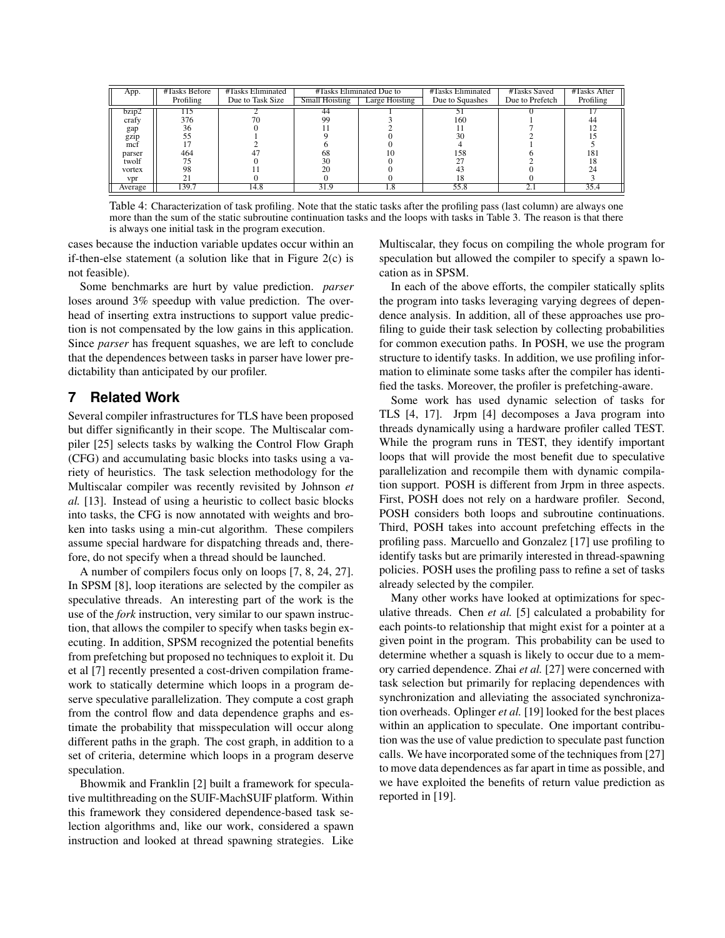| App.    | #Tasks Before | #Tasks Eliminated |                       | #Tasks Eliminated Due to | #Tasks Eliminated | #Tasks Saved    | #Tasks After |
|---------|---------------|-------------------|-----------------------|--------------------------|-------------------|-----------------|--------------|
|         | Profiling     | Due to Task Size  | <b>Small Hoisting</b> | Large Hoisting           | Due to Squashes   | Due to Prefetch | Profiling    |
| bz1D2   |               |                   | 44                    |                          |                   |                 |              |
| crafv   | 376           |                   | 99                    |                          | 160               |                 | 44           |
| gap     | 36            |                   |                       |                          |                   |                 |              |
| gzip    |               |                   |                       |                          | 30                |                 |              |
| mct     |               |                   |                       |                          |                   |                 |              |
| parser  | 464           |                   | 68                    |                          | 158               |                 | 181          |
| twolf   |               |                   | 30                    |                          |                   |                 |              |
| vortex  | 98            |                   | 20                    |                          |                   |                 | 24           |
| vpr     |               |                   |                       |                          |                   |                 |              |
| Average | 39.7          | 14.8              | 31.9                  | 1.8                      | 55.8              |                 | 35.4         |

Table 4: Characterization of task profiling. Note that the static tasks after the profiling pass (last column) are always one more than the sum of the static subroutine continuation tasks and the loops with tasks in Table 3. The reason is that there is always one initial task in the program execution.

cases because the induction variable updates occur within an if-then-else statement (a solution like that in Figure 2(c) is not feasible).

Some benchmarks are hurt by value prediction. *parser* loses around 3% speedup with value prediction. The overhead of inserting extra instructions to support value prediction is not compensated by the low gains in this application. Since *parser* has frequent squashes, we are left to conclude that the dependences between tasks in parser have lower predictability than anticipated by our profiler.

## **7 Related Work**

Several compiler infrastructures for TLS have been proposed but differ significantly in their scope. The Multiscalar compiler [25] selects tasks by walking the Control Flow Graph (CFG) and accumulating basic blocks into tasks using a variety of heuristics. The task selection methodology for the Multiscalar compiler was recently revisited by Johnson *et al.* [13]. Instead of using a heuristic to collect basic blocks into tasks, the CFG is now annotated with weights and broken into tasks using a min-cut algorithm. These compilers assume special hardware for dispatching threads and, therefore, do not specify when a thread should be launched.

A number of compilers focus only on loops [7, 8, 24, 27]. In SPSM [8], loop iterations are selected by the compiler as speculative threads. An interesting part of the work is the use of the *fork* instruction, very similar to our spawn instruction, that allows the compiler to specify when tasks begin executing. In addition, SPSM recognized the potential benefits from prefetching but proposed no techniques to exploit it. Du et al [7] recently presented a cost-driven compilation framework to statically determine which loops in a program deserve speculative parallelization. They compute a cost graph from the control flow and data dependence graphs and estimate the probability that misspeculation will occur along different paths in the graph. The cost graph, in addition to a set of criteria, determine which loops in a program deserve speculation.

Bhowmik and Franklin [2] built a framework for speculative multithreading on the SUIF-MachSUIF platform. Within this framework they considered dependence-based task selection algorithms and, like our work, considered a spawn instruction and looked at thread spawning strategies. Like

Multiscalar, they focus on compiling the whole program for speculation but allowed the compiler to specify a spawn location as in SPSM.

In each of the above efforts, the compiler statically splits the program into tasks leveraging varying degrees of dependence analysis. In addition, all of these approaches use profiling to guide their task selection by collecting probabilities for common execution paths. In POSH, we use the program structure to identify tasks. In addition, we use profiling information to eliminate some tasks after the compiler has identified the tasks. Moreover, the profiler is prefetching-aware.

Some work has used dynamic selection of tasks for TLS [4, 17]. Jrpm [4] decomposes a Java program into threads dynamically using a hardware profiler called TEST. While the program runs in TEST, they identify important loops that will provide the most benefit due to speculative parallelization and recompile them with dynamic compilation support. POSH is different from Jrpm in three aspects. First, POSH does not rely on a hardware profiler. Second, POSH considers both loops and subroutine continuations. Third, POSH takes into account prefetching effects in the profiling pass. Marcuello and Gonzalez [17] use profiling to identify tasks but are primarily interested in thread-spawning policies. POSH uses the profiling pass to refine a set of tasks already selected by the compiler.

Many other works have looked at optimizations for speculative threads. Chen *et al.* [5] calculated a probability for each points-to relationship that might exist for a pointer at a given point in the program. This probability can be used to determine whether a squash is likely to occur due to a memory carried dependence. Zhai *et al.* [27] were concerned with task selection but primarily for replacing dependences with synchronization and alleviating the associated synchronization overheads. Oplinger *et al.* [19] looked for the best places within an application to speculate. One important contribution was the use of value prediction to speculate past function calls. We have incorporated some of the techniques from [27] to move data dependences as far apart in time as possible, and we have exploited the benefits of return value prediction as reported in [19].